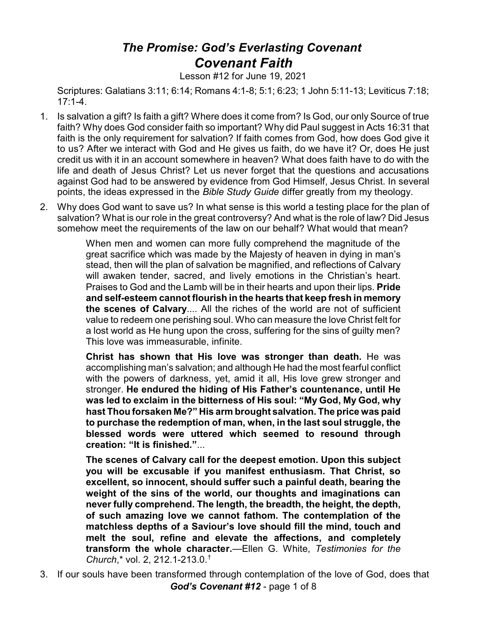## *The Promise: God's Everlasting Covenant Covenant Faith*

Lesson #12 for June 19, 2021

Scriptures: Galatians 3:11; 6:14; Romans 4:1-8; 5:1; 6:23; 1 John 5:11-13; Leviticus 7:18; 17:1-4.

- 1. Is salvation a gift? Is faith a gift? Where does it come from? Is God, our only Source of true faith? Why does God consider faith so important? Why did Paul suggest in Acts 16:31 that faith is the only requirement for salvation? If faith comes from God, how does God give it to us? After we interact with God and He gives us faith, do we have it? Or, does He just credit us with it in an account somewhere in heaven? What does faith have to do with the life and death of Jesus Christ? Let us never forget that the questions and accusations against God had to be answered by evidence from God Himself, Jesus Christ. In several points, the ideas expressed in the *Bible Study Guide* differ greatly from my theology.
- 2. Why does God want to save us? In what sense is this world a testing place for the plan of salvation? What is our role in the great controversy? And what is the role of law? Did Jesus somehow meet the requirements of the law on our behalf? What would that mean?

When men and women can more fully comprehend the magnitude of the great sacrifice which was made by the Majesty of heaven in dying in man's stead, then will the plan of salvation be magnified, and reflections of Calvary will awaken tender, sacred, and lively emotions in the Christian's heart. Praises to God and the Lamb will be in their hearts and upon their lips. **Pride and self-esteem cannot flourish in the hearts that keep fresh in memory the scenes of Calvary**.... All the riches of the world are not of sufficient value to redeem one perishing soul. Who can measure the love Christ felt for a lost world as He hung upon the cross, suffering for the sins of guilty men? This love was immeasurable, infinite.

**Christ has shown that His love was stronger than death.** He was accomplishing man's salvation; and although He had the most fearful conflict with the powers of darkness, yet, amid it all, His love grew stronger and stronger. **He endured the hiding of His Father's countenance, until He was led to exclaim in the bitterness of His soul: "My God, My God, why hast Thou forsaken Me?" His arm brought salvation. The price was paid to purchase the redemption of man, when, in the last soul struggle, the blessed words were uttered which seemed to resound through creation: "It is finished."**...

**The scenes of Calvary call for the deepest emotion. Upon this subject you will be excusable if you manifest enthusiasm. That Christ, so excellent, so innocent, should suffer such a painful death, bearing the weight of the sins of the world, our thoughts and imaginations can never fully comprehend. The length, the breadth, the height, the depth, of such amazing love we cannot fathom. The contemplation of the matchless depths of a Saviour's love should fill the mind, touch and melt the soul, refine and elevate the affections, and completely transform the whole character.**—Ellen G. White, *Testimonies for the Church*,\* vol. 2, 212.1-213.0.†

3. If our souls have been transformed through contemplation of the love of God, does that *God's Covenant #12* - page 1 of 8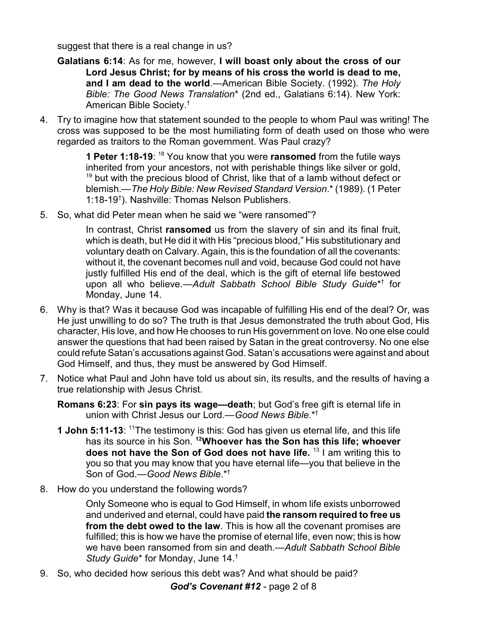suggest that there is a real change in us?

- **Galatians 6:14**: As for me, however, **I will boast only about the cross of our Lord Jesus Christ; for by means of his cross the world is dead to me, and I am dead to the world**.—American Bible Society. (1992). *The Holy Bible: The Good News Translation*\* (2nd ed., Galatians 6:14). New York: American Bible Society. †
- 4. Try to imagine how that statement sounded to the people to whom Paul was writing! The cross was supposed to be the most humiliating form of death used on those who were regarded as traitors to the Roman government. Was Paul crazy?

**1 Peter 1:18-19**: <sup>18</sup> You know that you were **ransomed** from the futile ways inherited from your ancestors, not with perishable things like silver or gold, <sup>19</sup> but with the precious blood of Christ, like that of a lamb without defect or blemish.—*The Holy Bible: New Revised Standard Version*.\* (1989). (1 Peter 1:18-19† ). Nashville: Thomas Nelson Publishers.

5. So, what did Peter mean when he said we "were ransomed"?

In contrast, Christ **ransomed** us from the slavery of sin and its final fruit, which is death, but He did it with His "precious blood," His substitutionary and voluntary death on Calvary. Again, this is the foundation of all the covenants: without it, the covenant becomes null and void, because God could not have justly fulfilled His end of the deal, which is the gift of eternal life bestowed upon all who believe.—*Adult Sabbath School Bible Study Guide*\* † for Monday, June 14.

- 6. Why is that? Was it because God was incapable of fulfilling His end of the deal? Or, was He just unwilling to do so? The truth is that Jesus demonstrated the truth about God, His character, His love, and how He chooses to run His government on love. No one else could answer the questions that had been raised by Satan in the great controversy. No one else could refute Satan's accusations against God. Satan's accusations were against and about God Himself, and thus, they must be answered by God Himself.
- 7. Notice what Paul and John have told us about sin, its results, and the results of having a true relationship with Jesus Christ.
	- **Romans 6:23**: For **sin pays its wage—death**; but God's free gift is eternal life in union with Christ Jesus our Lord.—*Good News Bible*.\*†
	- **1 John 5:11-13:** <sup>11</sup>The testimony is this: God has given us eternal life, and this life has its source in his Son. **<sup>12</sup>Whoever has the Son has this life; whoever does not have the Son of God does not have life.** <sup>13</sup> I am writing this to you so that you may know that you have eternal life—you that believe in the Son of God.—*Good News Bible*.\*†
- 8. How do you understand the following words?

Only Someone who is equal to God Himself, in whom life exists unborrowed and underived and eternal, could have paid **the ransom required to free us from the debt owed to the law**. This is how all the covenant promises are fulfilled; this is how we have the promise of eternal life, even now; this is how we have been ransomed from sin and death.—*Adult Sabbath School Bible Study Guide*\* for Monday, June 14.†

9. So, who decided how serious this debt was? And what should be paid?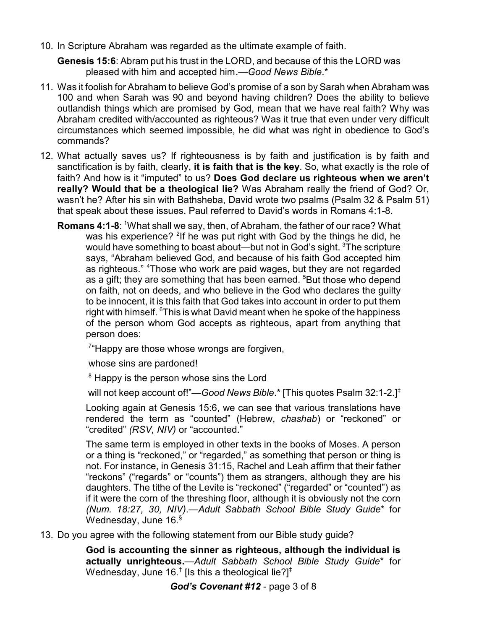10. In Scripture Abraham was regarded as the ultimate example of faith.

**Genesis 15:6**: Abram put his trust in the LORD, and because of this the LORD was pleased with him and accepted him.—*Good News Bible*.\*

- 11. Was it foolish for Abraham to believe God's promise of a son by Sarah when Abraham was 100 and when Sarah was 90 and beyond having children? Does the ability to believe outlandish things which are promised by God, mean that we have real faith? Why was Abraham credited with/accounted as righteous? Was it true that even under very difficult circumstances which seemed impossible, he did what was right in obedience to God's commands?
- 12. What actually saves us? If righteousness is by faith and justification is by faith and sanctification is by faith, clearly, **it is faith that is the key**. So, what exactly is the role of faith? And how is it "imputed" to us? **Does God declare us righteous when we aren't really? Would that be a theological lie?** Was Abraham really the friend of God? Or, wasn't he? After his sin with Bathsheba, David wrote two psalms (Psalm 32 & Psalm 51) that speak about these issues. Paul referred to David's words in Romans 4:1-8.
	- **Romans 4:1-8**: <sup>1</sup>What shall we say, then, of Abraham, the father of our race? What was his experience? <sup>2</sup>If he was put right with God by the things he did, he would have something to boast about—but not in God's sight. <sup>3</sup>The scripture says, "Abraham believed God, and because of his faith God accepted him as righteous." <sup>4</sup>Those who work are paid wages, but they are not regarded as a gift; they are something that has been earned. <sup>5</sup>But those who depend on faith, not on deeds, and who believe in the God who declares the guilty to be innocent, it is this faith that God takes into account in order to put them right with himself. <sup>6</sup>This is what David meant when he spoke of the happiness of the person whom God accepts as righteous, apart from anything that person does:

<sup>7</sup>"Happy are those whose wrongs are forgiven,

whose sins are pardoned!

<sup>8</sup> Happy is the person whose sins the Lord

will not keep account of!"—*Good News Bible*.\* [This quotes Psalm 32:1-2.]‡

Looking again at Genesis 15:6, we can see that various translations have rendered the term as "counted" (Hebrew, *chashab*) or "reckoned" or "credited" *(RSV, NIV)* or "accounted."

The same term is employed in other texts in the books of Moses. A person or a thing is "reckoned," or "regarded," as something that person or thing is not. For instance, in Genesis 31:15, Rachel and Leah affirm that their father "reckons" ("regards" or "counts") them as strangers, although they are his daughters. The tithe of the Levite is "reckoned" ("regarded" or "counted") as if it were the corn of the threshing floor, although it is obviously not the corn *(Num. 18:27, 30, NIV)*.—*Adult Sabbath School Bible Study Guide*\* for Wednesday, June 16.<sup>§</sup>

13. Do you agree with the following statement from our Bible study guide?

**God is accounting the sinner as righteous, although the individual is actually unrighteous.**—*Adult Sabbath School Bible Study Guide*\* for Wednesday, June 16. $^\dagger$  [Is this a theological lie?] $^\ddagger$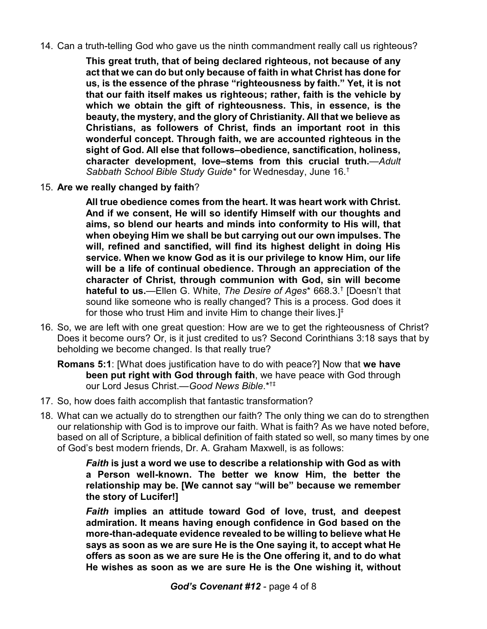14. Can a truth-telling God who gave us the ninth commandment really call us righteous?

**This great truth, that of being declared righteous, not because of any act that we can do but only because of faith in what Christ has done for us, is the essence of the phrase "righteousness by faith." Yet, it is not that our faith itself makes us righteous; rather, faith is the vehicle by which we obtain the gift of righteousness. This, in essence, is the beauty, the mystery, and the glory of Christianity. All that we believe as Christians, as followers of Christ, finds an important root in this wonderful concept. Through faith, we are accounted righteous in the sight of God. All else that follows–obedience, sanctification, holiness, character development, love–stems from this crucial truth.**—*Adult Sabbath School Bible Study Guide*\* for Wednesday, June 16.†

15. **Are we really changed by faith**?

**All true obedience comes from the heart. It was heart work with Christ. And if we consent, He will so identify Himself with our thoughts and aims, so blend our hearts and minds into conformity to His will, that when obeying Him we shall be but carrying out our own impulses. The will, refined and sanctified, will find its highest delight in doing His service. When we know God as it is our privilege to know Him, our life will be a life of continual obedience. Through an appreciation of the character of Christ, through communion with God, sin will become hateful to us.**—Ellen G. White, *The Desire of Ages*\* 668.3.† [Doesn't that sound like someone who is really changed? This is a process. God does it for those who trust Him and invite Him to change their lives. $]^{+}$ 

16. So, we are left with one great question: How are we to get the righteousness of Christ? Does it become ours? Or, is it just credited to us? Second Corinthians 3:18 says that by beholding we become changed. Is that really true?

**Romans 5:1**: [What does justification have to do with peace?] Now that **we have been put right with God through faith**, we have peace with God through our Lord Jesus Christ.—*Good News Bible*.\*†‡

- 17. So, how does faith accomplish that fantastic transformation?
- 18. What can we actually do to strengthen our faith? The only thing we can do to strengthen our relationship with God is to improve our faith. What is faith? As we have noted before, based on all of Scripture, a biblical definition of faith stated so well, so many times by one of God's best modern friends, Dr. A. Graham Maxwell, is as follows:

*Faith* **is just a word we use to describe a relationship with God as with a Person well-known. The better we know Him, the better the relationship may be. [We cannot say "will be" because we remember the story of Lucifer!]**

*Faith* **implies an attitude toward God of love, trust, and deepest admiration. It means having enough confidence in God based on the more-than-adequate evidence revealed to be willing to believe what He says as soon as we are sure He is the One saying it, to accept what He offers as soon as we are sure He is the One offering it, and to do what He wishes as soon as we are sure He is the One wishing it, without**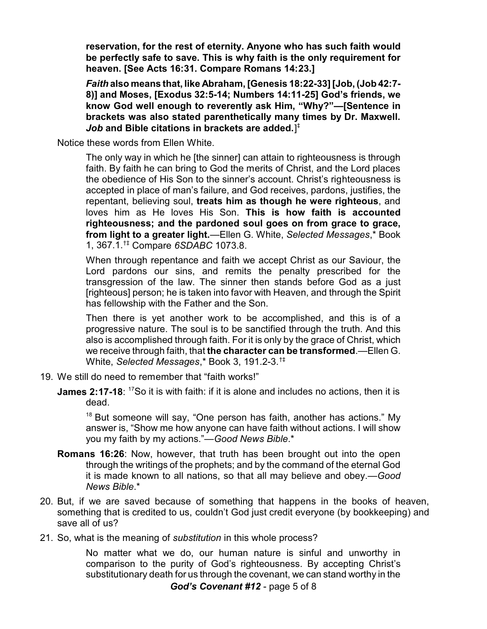**reservation, for the rest of eternity. Anyone who has such faith would be perfectly safe to save. This is why faith is the only requirement for heaven. [See Acts 16:31. Compare Romans 14:23.]**

*Faith* **also means that, like Abraham, [Genesis 18:22-33] [Job, (Job 42:7- 8)] and Moses, [Exodus 32:5-14; Numbers 14:11-25] God's friends, we know God well enough to reverently ask Him, "Why?"—[Sentence in brackets was also stated parenthetically many times by Dr. Maxwell.** *Job* **and Bible citations in brackets are added.**] ‡

Notice these words from Ellen White.

The only way in which he [the sinner] can attain to righteousness is through faith. By faith he can bring to God the merits of Christ, and the Lord places the obedience of His Son to the sinner's account. Christ's righteousness is accepted in place of man's failure, and God receives, pardons, justifies, the repentant, believing soul, **treats him as though he were righteous**, and loves him as He loves His Son. **This is how faith is accounted righteousness; and the pardoned soul goes on from grace to grace, from light to a greater light.**—Ellen G. White, *Selected Messages*,\* Book 1, 367.1.†‡ Compare *6SDABC* 1073.8.

When through repentance and faith we accept Christ as our Saviour, the Lord pardons our sins, and remits the penalty prescribed for the transgression of the law. The sinner then stands before God as a just [righteous] person; he is taken into favor with Heaven, and through the Spirit has fellowship with the Father and the Son.

Then there is yet another work to be accomplished, and this is of a progressive nature. The soul is to be sanctified through the truth. And this also is accomplished through faith. For it is only by the grace of Christ, which we receive through faith, that **the character can be transformed**.—Ellen G. White, *Selected Messages*,\* Book 3, 191.2-3.†‡

- 19. We still do need to remember that "faith works!"
	- **James 2:17-18:** <sup>17</sup>So it is with faith: if it is alone and includes no actions, then it is dead.

<sup>18</sup> But someone will say, "One person has faith, another has actions." My answer is, "Show me how anyone can have faith without actions. I will show you my faith by my actions."—*Good News Bible*.\*

- **Romans 16:26**: Now, however, that truth has been brought out into the open through the writings of the prophets; and by the command of the eternal God it is made known to all nations, so that all may believe and obey.—*Good News Bible*.\*
- 20. But, if we are saved because of something that happens in the books of heaven, something that is credited to us, couldn't God just credit everyone (by bookkeeping) and save all of us?
- 21. So, what is the meaning of *substitution* in this whole process?

No matter what we do, our human nature is sinful and unworthy in comparison to the purity of God's righteousness. By accepting Christ's substitutionary death for us through the covenant, we can stand worthy in the *God's Covenant #12* - page 5 of 8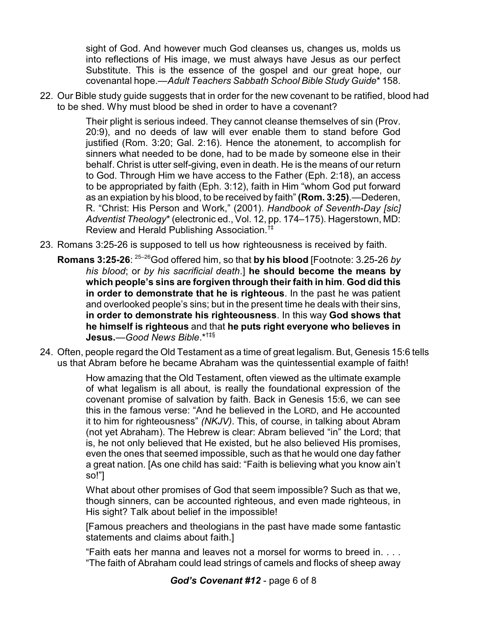sight of God. And however much God cleanses us, changes us, molds us into reflections of His image, we must always have Jesus as our perfect Substitute. This is the essence of the gospel and our great hope, our covenantal hope.—*Adult Teachers Sabbath School Bible Study Guide*\* 158.

22. Our Bible study guide suggests that in order for the new covenant to be ratified, blood had to be shed. Why must blood be shed in order to have a covenant?

> Their plight is serious indeed. They cannot cleanse themselves of sin (Prov. 20:9), and no deeds of law will ever enable them to stand before God justified (Rom. 3:20; Gal. 2:16). Hence the atonement, to accomplish for sinners what needed to be done, had to be made by someone else in their behalf. Christ is utter self-giving, even in death. He is the means of our return to God. Through Him we have access to the Father (Eph. 2:18), an access to be appropriated by faith (Eph. 3:12), faith in Him "whom God put forward as an expiation by his blood, to be received by faith" **(Rom. 3:25)**.—Dederen, R. "Christ: His Person and Work," (2001). *Handbook of Seventh-Day [sic] Adventist Theology*\* (electronic ed., Vol. 12, pp. 174–175). Hagerstown, MD: Review and Herald Publishing Association.†‡

- 23. Romans 3:25-26 is supposed to tell us how righteousness is received by faith.
	- **Romans 3:25-26**: 25–26God offered him, so that **by his blood** [Footnote: 3.25-26 *by his blood*; or *by his sacrificial death*.] **he should become the means by which people's sins are forgiven through their faith in him**. **God did this in order to demonstrate that he is righteous**. In the past he was patient and overlooked people's sins; but in the present time he deals with their sins, **in order to demonstrate his righteousness**. In this way **God shows that he himself is righteous** and that **he puts right everyone who believes in Jesus.**—*Good News Bible*.\*†‡§
- 24. Often, people regard the Old Testament as a time of great legalism. But, Genesis 15:6 tells us that Abram before he became Abraham was the quintessential example of faith!

How amazing that the Old Testament, often viewed as the ultimate example of what legalism is all about, is really the foundational expression of the covenant promise of salvation by faith. Back in Genesis 15:6, we can see this in the famous verse: "And he believed in the LORD, and He accounted it to him for righteousness" *(NKJV)*. This, of course, in talking about Abram (not yet Abraham). The Hebrew is clear: Abram believed "in" the Lord; that is, he not only believed that He existed, but he also believed His promises, even the ones that seemed impossible, such as that he would one day father a great nation. [As one child has said: "Faith is believing what you know ain't so!"]

What about other promises of God that seem impossible? Such as that we, though sinners, can be accounted righteous, and even made righteous, in His sight? Talk about belief in the impossible!

[Famous preachers and theologians in the past have made some fantastic statements and claims about faith.]

"Faith eats her manna and leaves not a morsel for worms to breed in. . . . "The faith of Abraham could lead strings of camels and flocks of sheep away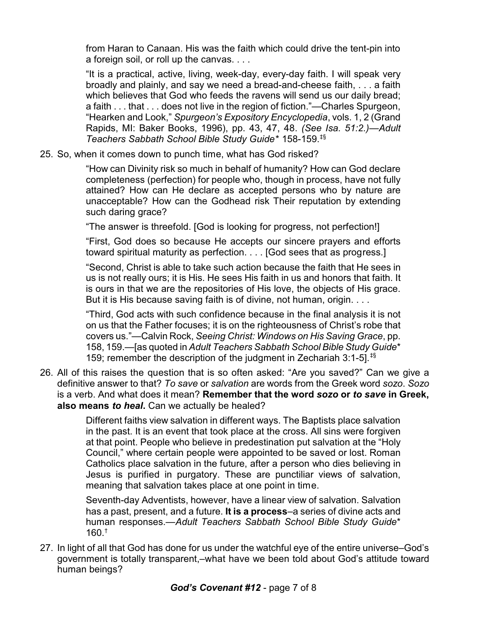from Haran to Canaan. His was the faith which could drive the tent-pin into a foreign soil, or roll up the canvas. . . .

"It is a practical, active, living, week-day, every-day faith. I will speak very broadly and plainly, and say we need a bread-and-cheese faith, . . . a faith which believes that God who feeds the ravens will send us our daily bread; a faith . . . that . . . does not live in the region of fiction."—Charles Spurgeon, "Hearken and Look," *Spurgeon's Expository Encyclopedia*, vols. 1, 2 (Grand Rapids, MI: Baker Books, 1996), pp. 43, 47, 48. *(See Isa. 51:2.)*—*Adult Teachers Sabbath School Bible Study Guide*\* 158-159.‡§

25. So, when it comes down to punch time, what has God risked?

"How can Divinity risk so much in behalf of humanity? How can God declare completeness (perfection) for people who, though in process, have not fully attained? How can He declare as accepted persons who by nature are unacceptable? How can the Godhead risk Their reputation by extending such daring grace?

"The answer is threefold. [God is looking for progress, not perfection!]

"First, God does so because He accepts our sincere prayers and efforts toward spiritual maturity as perfection. . . . [God sees that as progress.]

"Second, Christ is able to take such action because the faith that He sees in us is not really ours; it is His. He sees His faith in us and honors that faith. It is ours in that we are the repositories of His love, the objects of His grace. But it is His because saving faith is of divine, not human, origin. . . .

"Third, God acts with such confidence because in the final analysis it is not on us that the Father focuses; it is on the righteousness of Christ's robe that covers us."—Calvin Rock, *Seeing Christ: Windows on His Saving Grace*, pp. 158, 159.—[as quoted in *Adult Teachers Sabbath School Bible Study Guide*\* 159; remember the description of the judgment in Zechariah 3:1-5].‡§

26. All of this raises the question that is so often asked: "Are you saved?" Can we give a definitive answer to that? *To save* or *salvation* are words from the Greek word *sozo*. *Sozo* is a verb. And what does it mean? **Remember that the word** *sozo* **or** *to save* **in Greek, also means** *to heal***.** Can we actually be healed?

> Different faiths view salvation in different ways. The Baptists place salvation in the past. It is an event that took place at the cross. All sins were forgiven at that point. People who believe in predestination put salvation at the "Holy Council," where certain people were appointed to be saved or lost. Roman Catholics place salvation in the future, after a person who dies believing in Jesus is purified in purgatory. These are punctiliar views of salvation, meaning that salvation takes place at one point in time.

> Seventh-day Adventists, however, have a linear view of salvation. Salvation has a past, present, and a future. **It is a process**–a series of divine acts and human responses.—*Adult Teachers Sabbath School Bible Study Guide*\* 160.†

27. In light of all that God has done for us under the watchful eye of the entire universe–God's government is totally transparent,–what have we been told about God's attitude toward human beings?